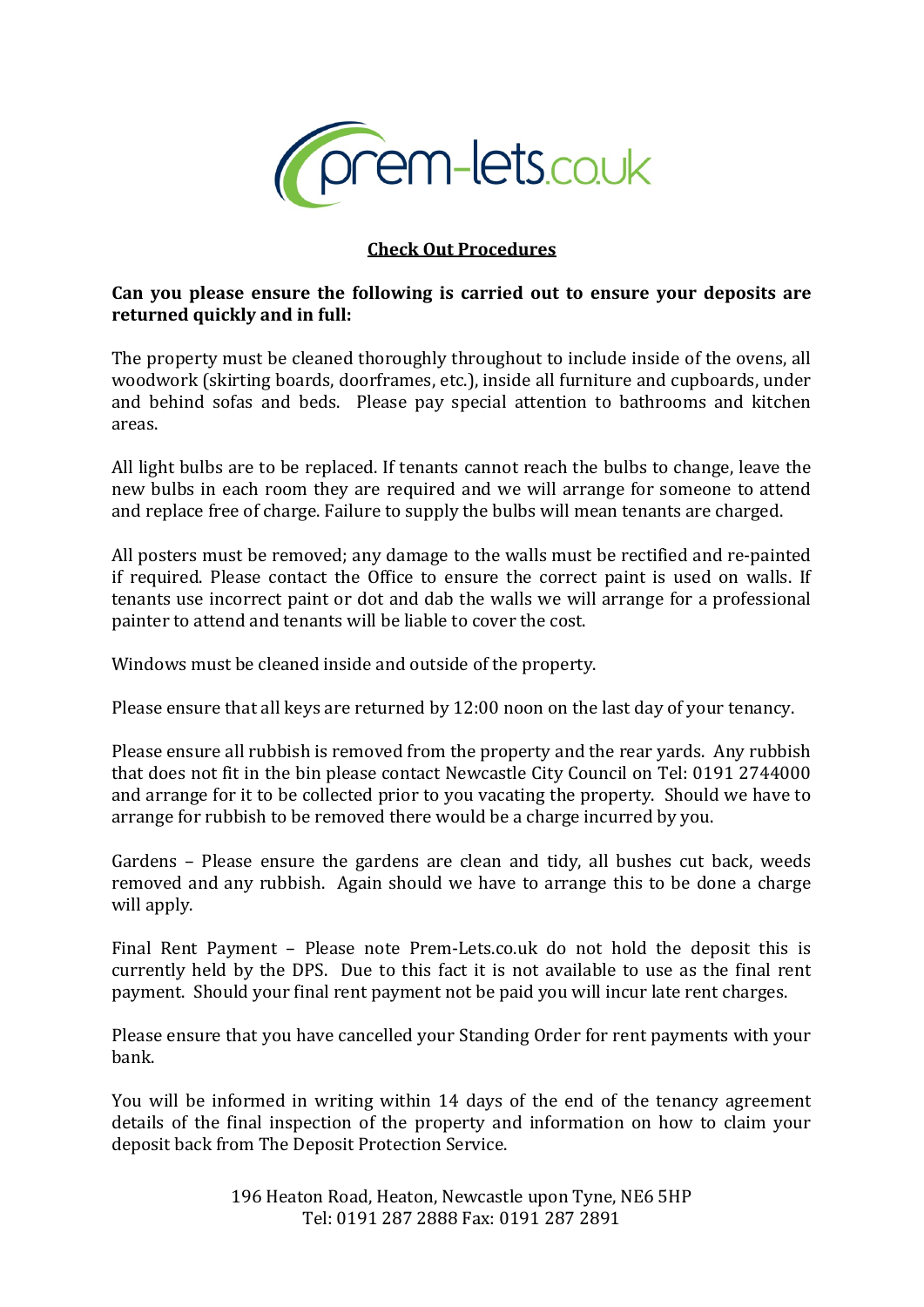

## **Check Out Procedures**

## **Can you please ensure the following is carried out to ensure your deposits are returned quickly and in full:**

The property must be cleaned thoroughly throughout to include inside of the ovens, all woodwork (skirting boards, doorframes, etc.), inside all furniture and cupboards, under and behind sofas and beds. Please pay special attention to bathrooms and kitchen areas.

All light bulbs are to be replaced. If tenants cannot reach the bulbs to change, leave the new bulbs in each room they are required and we will arrange for someone to attend and replace free of charge. Failure to supply the bulbs will mean tenants are charged.

All posters must be removed; any damage to the walls must be rectified and re-painted if required. Please contact the Office to ensure the correct paint is used on walls. If tenants use incorrect paint or dot and dab the walls we will arrange for a professional painter to attend and tenants will be liable to cover the cost.

Windows must be cleaned inside and outside of the property.

Please ensure that all keys are returned by 12:00 noon on the last day of your tenancy.

Please ensure all rubbish is removed from the property and the rear yards. Any rubbish that does not fit in the bin please contact Newcastle City Council on Tel: 0191 2744000 and arrange for it to be collected prior to you vacating the property. Should we have to arrange for rubbish to be removed there would be a charge incurred by you.

Gardens – Please ensure the gardens are clean and tidy, all bushes cut back, weeds removed and any rubbish. Again should we have to arrange this to be done a charge will apply.

Final Rent Payment – Please note Prem-Lets.co.uk do not hold the deposit this is currently held by the DPS. Due to this fact it is not available to use as the final rent payment. Should your final rent payment not be paid you will incur late rent charges.

Please ensure that you have cancelled your Standing Order for rent payments with your bank.

You will be informed in writing within 14 days of the end of the tenancy agreement details of the final inspection of the property and information on how to claim your deposit back from The Deposit Protection Service.

> 196 Heaton Road, Heaton, Newcastle upon Tyne, NE6 5HP Tel: 0191 287 2888 Fax: 0191 287 2891